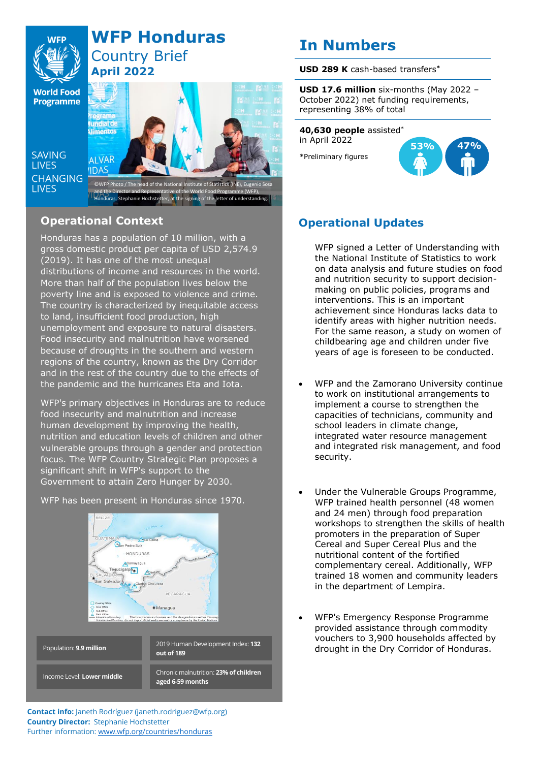

## **WFP Honduras** Country Brief **April 2022**

**World Food Programme** 

**SAVING LIVES CHANGING LIVES** 



and the Director and Representative of the World Food Programme (WFP),<br>Honduras, Stephanie Hochstetter, at the signing of the letter of understanding.

## **Operational Context**

Honduras has a population of 10 million, with a gross domestic product per capita of USD 2,574.9 (2019). It has one of the most unequal distributions of income and resources in the world. More than half of the population lives below the poverty line and is exposed to violence and crime. The country is characterized by inequitable access to land, insufficient food production, high unemployment and exposure to natural disasters. Food insecurity and malnutrition have worsened because of droughts in the southern and western regions of the country, known as the Dry Corridor and in the rest of the country due to the effects of the pandemic and the hurricanes Eta and Iota.

WFP's primary objectives in Honduras are to reduce food insecurity and malnutrition and increase human development by improving the health, nutrition and education levels of children and other vulnerable groups through a gender and protection focus. The WFP Country Strategic Plan proposes a significant shift in WFP's support to the Government to attain Zero Hunger by 2030.

WFP has been present in Honduras since 1970.



# **USD 289 K** cash-based transfers**\***

**USD 17.6 million** six-months (May 2022 – October 2022) net funding requirements, representing 38% of total

### **40,630 people** assisted\* in April 2022

**In Numbers**

\*Preliminary figures



## **Operational Updates**

WFP signed a Letter of Understanding with the National Institute of Statistics to work on data analysis and future studies on food and nutrition security to support decisionmaking on public policies, programs and interventions. This is an important achievement since Honduras lacks data to identify areas with higher nutrition needs. For the same reason, a study on women of childbearing age and children under five years of age is foreseen to be conducted.

- WFP and the Zamorano University continue to work on institutional arrangements to implement a course to strengthen the capacities of technicians, community and school leaders in climate change, integrated water resource management and integrated risk management, and food security.
- Under the Vulnerable Groups Programme, WFP trained health personnel (48 women and 24 men) through food preparation workshops to strengthen the skills of health promoters in the preparation of Super Cereal and Super Cereal Plus and the nutritional content of the fortified complementary cereal. Additionally, WFP trained 18 women and community leaders in the department of Lempira.
- WFP's Emergency Response Programme provided assistance through commodity vouchers to 3,900 households affected by drought in the Dry Corridor of Honduras.

**Contact info:** Janeth Rodríguez (janeth.rodriguez@wfp.org) **Country Director:** Stephanie Hochstetter Further information: [www.wfp.org/countries/honduras](http://www.wfp.org/countries/honduras)